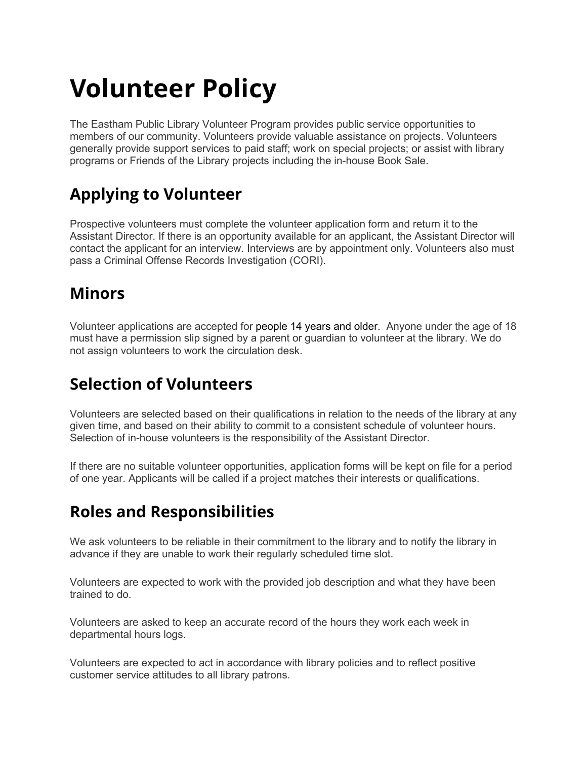# **Volunteer Policy**

The Eastham Public Library Volunteer Program provides public service opportunities to members of our community. Volunteers provide valuable assistance on projects. Volunteers generally provide support services to paid staff; work on special projects; or assist with library programs or Friends of the Library projects including the in-house Book Sale.

### **Applying to Volunteer**

Prospective volunteers must complete the volunteer application form and return it to the Assistant Director. If there is an opportunity available for an applicant, the Assistant Director will contact the applicant for an interview. Interviews are by appointment only. Volunteers also must pass a Criminal Offense Records Investigation (CORI).

#### **Minors**

Volunteer applications are accepted for people 14 years and older. Anyone under the age of 18 must have a permission slip signed by a parent or guardian to volunteer at the library. We do not assign volunteers to work the circulation desk.

#### **Selection of Volunteers**

Volunteers are selected based on their qualifications in relation to the needs of the library at any given time, and based on their ability to commit to a consistent schedule of volunteer hours. Selection of in-house volunteers is the responsibility of the Assistant Director.

If there are no suitable volunteer opportunities, application forms will be kept on file for a period of one year. Applicants will be called if a project matches their interests or qualifications.

#### **Roles and Responsibilities**

We ask volunteers to be reliable in their commitment to the library and to notify the library in advance if they are unable to work their regularly scheduled time slot.

Volunteers are expected to work with the provided job description and what they have been trained to do.

Volunteers are asked to keep an accurate record of the hours they work each week in departmental hours logs.

Volunteers are expected to act in accordance with library policies and to reflect positive customer service attitudes to all library patrons.